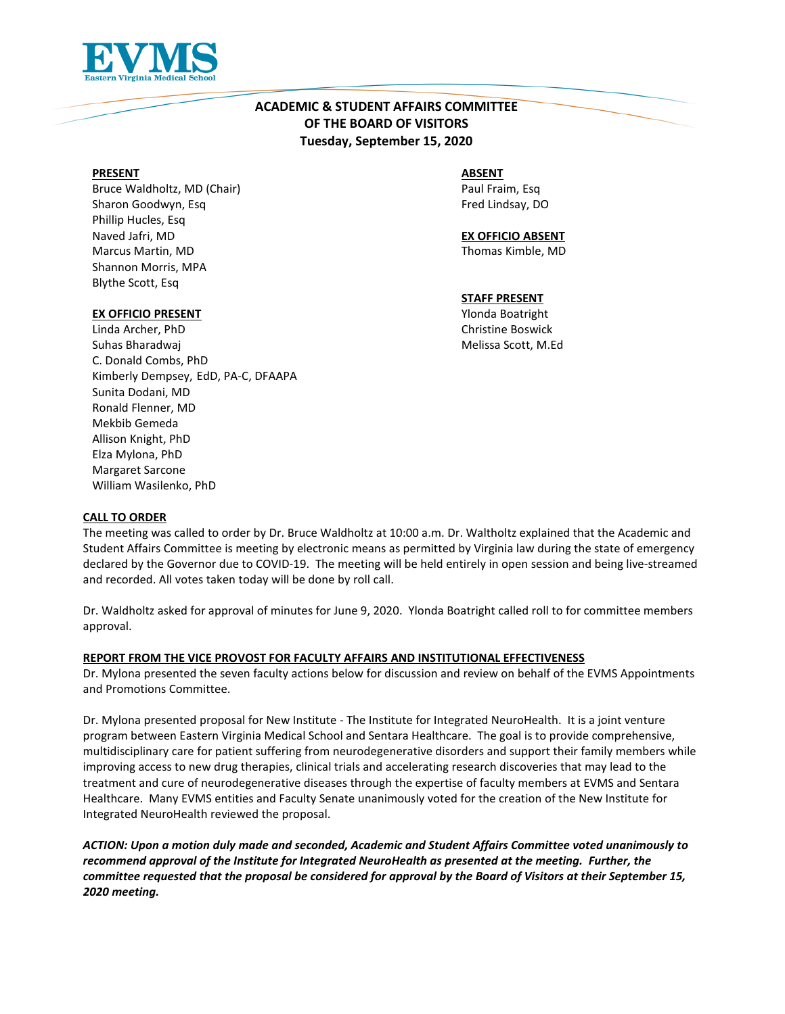

# **ACADEMIC & STUDENT AFFAIRS COMMITTEE OF THE BOARD OF VISITORS Tuesday, September 15, 2020**

#### **PRESENT**

Bruce Waldholtz, MD (Chair) Sharon Goodwyn, Esq Phillip Hucles, Esq Naved Jafri, MD Marcus Martin, MD Shannon Morris, MPA Blythe Scott, Esq

#### **EX OFFICIO PRESENT**

Linda Archer, PhD Suhas Bharadwaj C. Donald Combs, PhD Kimberly Dempsey, EdD, PA-C, DFAAPA Sunita Dodani, MD Ronald Flenner, MD Mekbib Gemeda Allison Knight, PhD Elza Mylona, PhD Margaret Sarcone William Wasilenko, PhD

#### **ABSENT**

Paul Fraim, Esq Fred Lindsay, DO

**EX OFFICIO ABSENT** Thomas Kimble, MD

#### **STAFF PRESENT**

Ylonda Boatright Christine Boswick Melissa Scott, M.Ed

#### **CALL TO ORDER**

The meeting was called to order by Dr. Bruce Waldholtz at 10:00 a.m. Dr. Waltholtz explained that the Academic and Student Affairs Committee is meeting by electronic means as permitted by Virginia law during the state of emergency declared by the Governor due to COVID-19. The meeting will be held entirely in open session and being live-streamed and recorded. All votes taken today will be done by roll call.

Dr. Waldholtz asked for approval of minutes for June 9, 2020. Ylonda Boatright called roll to for committee members approval.

#### **REPORT FROM THE VICE PROVOST FOR FACULTY AFFAIRS AND INSTITUTIONAL EFFECTIVENESS**

Dr. Mylona presented the seven faculty actions below for discussion and review on behalf of the EVMS Appointments and Promotions Committee.

Dr. Mylona presented proposal for New Institute - The Institute for Integrated NeuroHealth. It is a joint venture program between Eastern Virginia Medical School and Sentara Healthcare. The goal is to provide comprehensive, multidisciplinary care for patient suffering from neurodegenerative disorders and support their family members while improving access to new drug therapies, clinical trials and accelerating research discoveries that may lead to the treatment and cure of neurodegenerative diseases through the expertise of faculty members at EVMS and Sentara Healthcare. Many EVMS entities and Faculty Senate unanimously voted for the creation of the New Institute for Integrated NeuroHealth reviewed the proposal.

*ACTION: Upon a motion duly made and seconded, Academic and Student Affairs Committee voted unanimously to recommend approval of the Institute for Integrated NeuroHealth as presented at the meeting. Further, the committee requested that the proposal be considered for approval by the Board of Visitors at their September 15, 2020 meeting.*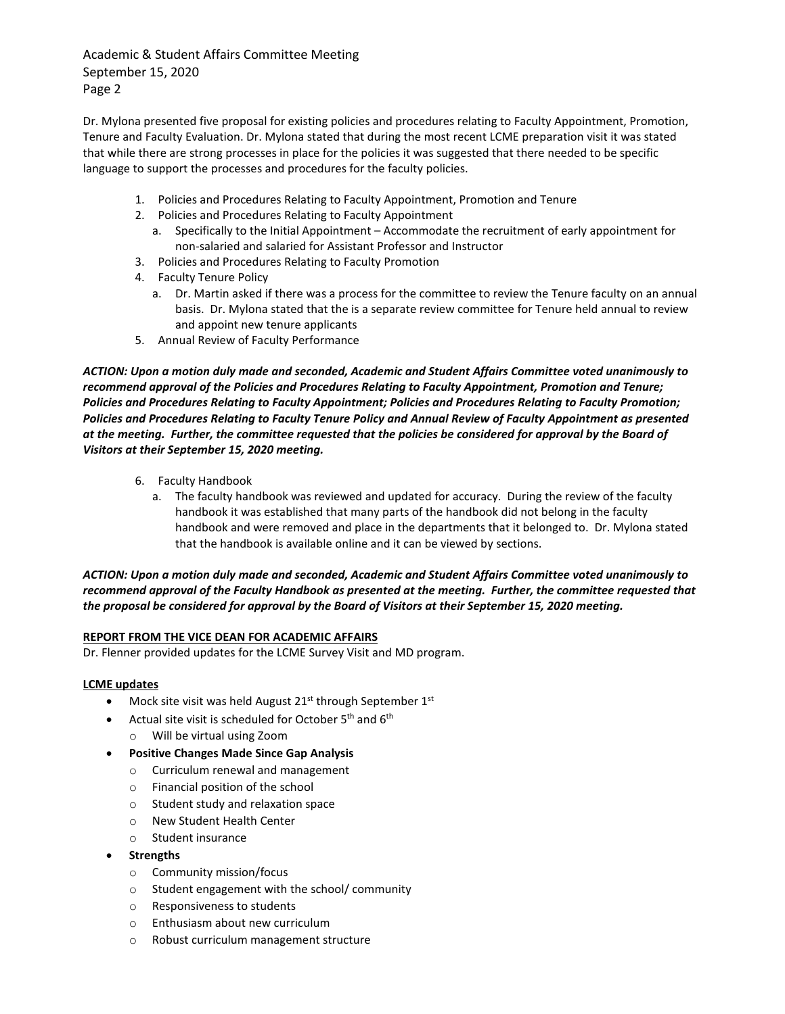Academic & Student Affairs Committee Meeting September 15, 2020 Page 2

Dr. Mylona presented five proposal for existing policies and procedures relating to Faculty Appointment, Promotion, Tenure and Faculty Evaluation. Dr. Mylona stated that during the most recent LCME preparation visit it was stated that while there are strong processes in place for the policies it was suggested that there needed to be specific language to support the processes and procedures for the faculty policies.

- 1. Policies and Procedures Relating to Faculty Appointment, Promotion and Tenure
- 2. Policies and Procedures Relating to Faculty Appointment
	- a. Specifically to the Initial Appointment Accommodate the recruitment of early appointment for non-salaried and salaried for Assistant Professor and Instructor
- 3. Policies and Procedures Relating to Faculty Promotion
- 4. Faculty Tenure Policy
	- a. Dr. Martin asked if there was a process for the committee to review the Tenure faculty on an annual basis. Dr. Mylona stated that the is a separate review committee for Tenure held annual to review and appoint new tenure applicants
- 5. Annual Review of Faculty Performance

*ACTION: Upon a motion duly made and seconded, Academic and Student Affairs Committee voted unanimously to recommend approval of the Policies and Procedures Relating to Faculty Appointment, Promotion and Tenure; Policies and Procedures Relating to Faculty Appointment; Policies and Procedures Relating to Faculty Promotion; Policies and Procedures Relating to Faculty Tenure Policy and Annual Review of Faculty Appointment as presented at the meeting. Further, the committee requested that the policies be considered for approval by the Board of Visitors at their September 15, 2020 meeting.*

- 6. Faculty Handbook
	- a. The faculty handbook was reviewed and updated for accuracy. During the review of the faculty handbook it was established that many parts of the handbook did not belong in the faculty handbook and were removed and place in the departments that it belonged to. Dr. Mylona stated that the handbook is available online and it can be viewed by sections.

# *ACTION: Upon a motion duly made and seconded, Academic and Student Affairs Committee voted unanimously to recommend approval of the Faculty Handbook as presented at the meeting. Further, the committee requested that the proposal be considered for approval by the Board of Visitors at their September 15, 2020 meeting.*

## **REPORT FROM THE VICE DEAN FOR ACADEMIC AFFAIRS**

Dr. Flenner provided updates for the LCME Survey Visit and MD program.

## **LCME updates**

- Mock site visit was held August  $21^{st}$  through September  $1^{st}$
- Actual site visit is scheduled for October  $5<sup>th</sup>$  and  $6<sup>th</sup>$ 
	- o Will be virtual using Zoom
- **Positive Changes Made Since Gap Analysis**
	- o Curriculum renewal and management
	- o Financial position of the school
	- o Student study and relaxation space
	- o New Student Health Center
	- o Student insurance
- **Strengths**
	- o Community mission/focus
	- o Student engagement with the school/ community
	- o Responsiveness to students
	- o Enthusiasm about new curriculum
	- o Robust curriculum management structure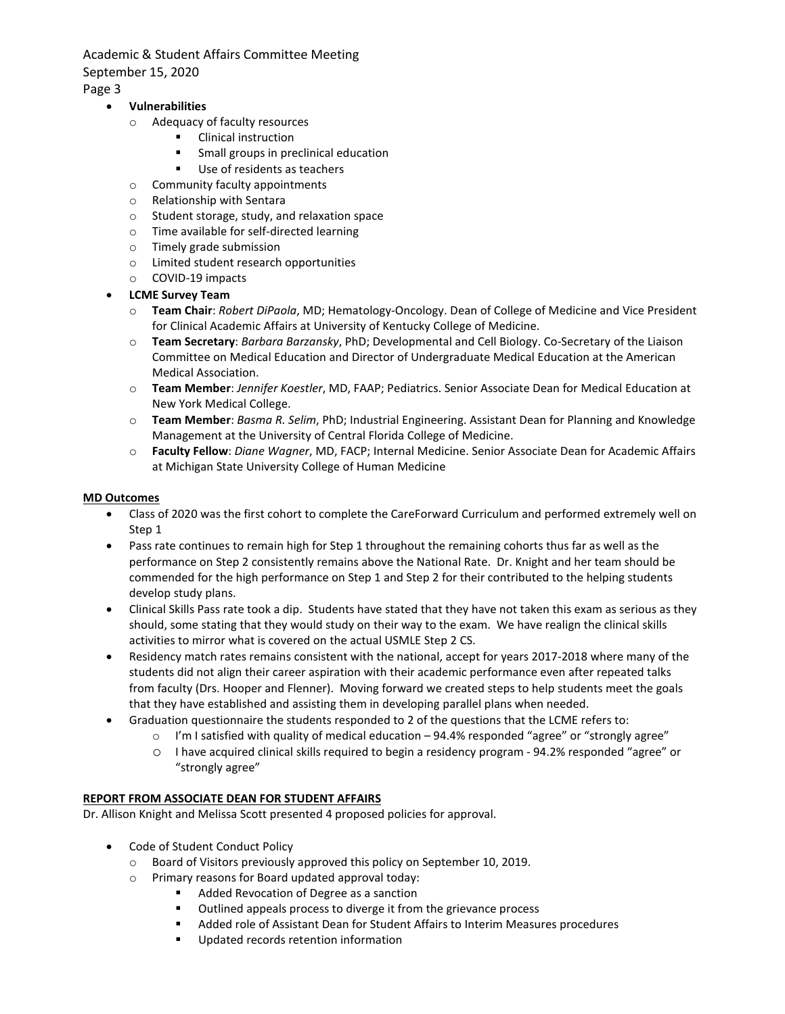Academic & Student Affairs Committee Meeting September 15, 2020 Page 3

## • **Vulnerabilities**

- o Adequacy of faculty resources
	- **•** Clinical instruction
		- Small groups in preclinical education
		- Use of residents as teachers
- o Community faculty appointments
- o Relationship with Sentara
- o Student storage, study, and relaxation space
- o Time available for self-directed learning
- o Timely grade submission
- o Limited student research opportunities
- o COVID-19 impacts
- **LCME Survey Team**
	- o **Team Chair**: *Robert DiPaola*, MD; Hematology-Oncology. Dean of College of Medicine and Vice President for Clinical Academic Affairs at University of Kentucky College of Medicine.
	- o **Team Secretary**: *Barbara Barzansky*, PhD; Developmental and Cell Biology. Co-Secretary of the Liaison Committee on Medical Education and Director of Undergraduate Medical Education at the American Medical Association.
	- o **Team Member**: *Jennifer Koestler*, MD, FAAP; Pediatrics. Senior Associate Dean for Medical Education at New York Medical College.
	- o **Team Member**: *Basma R. Selim*, PhD; Industrial Engineering. Assistant Dean for Planning and Knowledge Management at the University of Central Florida College of Medicine.
	- o **Faculty Fellow**: *Diane Wagner*, MD, FACP; Internal Medicine. Senior Associate Dean for Academic Affairs at Michigan State University College of Human Medicine

## **MD Outcomes**

- Class of 2020 was the first cohort to complete the CareForward Curriculum and performed extremely well on Step 1
- Pass rate continues to remain high for Step 1 throughout the remaining cohorts thus far as well as the performance on Step 2 consistently remains above the National Rate. Dr. Knight and her team should be commended for the high performance on Step 1 and Step 2 for their contributed to the helping students develop study plans.
- Clinical Skills Pass rate took a dip. Students have stated that they have not taken this exam as serious as they should, some stating that they would study on their way to the exam. We have realign the clinical skills activities to mirror what is covered on the actual USMLE Step 2 CS.
- Residency match rates remains consistent with the national, accept for years 2017-2018 where many of the students did not align their career aspiration with their academic performance even after repeated talks from faculty (Drs. Hooper and Flenner). Moving forward we created steps to help students meet the goals that they have established and assisting them in developing parallel plans when needed.
- Graduation questionnaire the students responded to 2 of the questions that the LCME refers to:
	- o I'm I satisfied with quality of medical education 94.4% responded "agree" or "strongly agree"
	- o I have acquired clinical skills required to begin a residency program 94.2% responded "agree" or "strongly agree"

## **REPORT FROM ASSOCIATE DEAN FOR STUDENT AFFAIRS**

Dr. Allison Knight and Melissa Scott presented 4 proposed policies for approval.

- Code of Student Conduct Policy
	- o Board of Visitors previously approved this policy on September 10, 2019.
	- $\circ$  Primary reasons for Board updated approval today:<br> $\bullet$  Added Revocation of Degree as a sanction
		- Added Revocation of Degree as a sanction
		- Outlined appeals process to diverge it from the grievance process
		- Added role of Assistant Dean for Student Affairs to Interim Measures procedures
			- Updated records retention information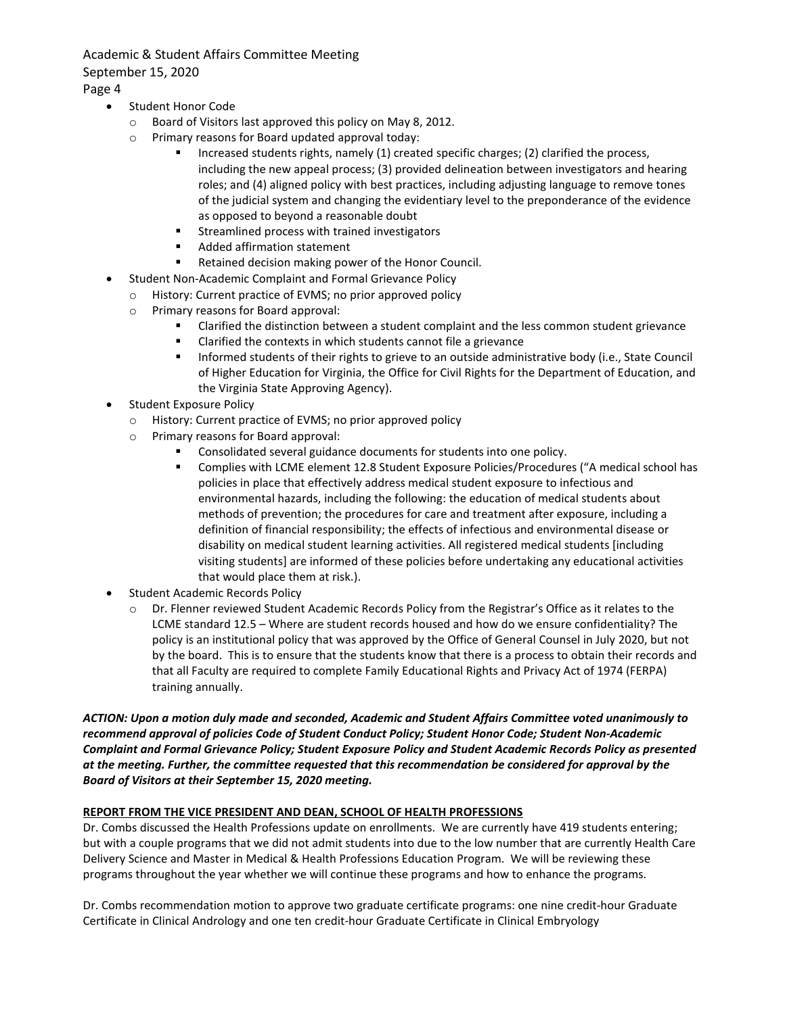Academic & Student Affairs Committee Meeting September 15, 2020

Page 4

- Student Honor Code
	- o Board of Visitors last approved this policy on May 8, 2012.
	- o Primary reasons for Board updated approval today:
		- Increased students rights, namely (1) created specific charges; (2) clarified the process, including the new appeal process; (3) provided delineation between investigators and hearing roles; and (4) aligned policy with best practices, including adjusting language to remove tones of the judicial system and changing the evidentiary level to the preponderance of the evidence as opposed to beyond a reasonable doubt
		- **EXECUTE:** Streamlined process with trained investigators
		- Added affirmation statement
		- Retained decision making power of the Honor Council.
- Student Non-Academic Complaint and Formal Grievance Policy
	- o History: Current practice of EVMS; no prior approved policy
	- o Primary reasons for Board approval:
		- Clarified the distinction between a student complaint and the less common student grievance
		- Clarified the contexts in which students cannot file a grievance
		- **Informed students of their rights to grieve to an outside administrative body (i.e., State Council** of Higher Education for Virginia, the Office for Civil Rights for the Department of Education, and the Virginia State Approving Agency).
- Student Exposure Policy
	- o History: Current practice of EVMS; no prior approved policy
	- o Primary reasons for Board approval:
		- Consolidated several guidance documents for students into one policy.
		- Complies with LCME element 12.8 Student Exposure Policies/Procedures ("A medical school has policies in place that effectively address medical student exposure to infectious and environmental hazards, including the following: the education of medical students about methods of prevention; the procedures for care and treatment after exposure, including a definition of financial responsibility; the effects of infectious and environmental disease or disability on medical student learning activities. All registered medical students [including visiting students] are informed of these policies before undertaking any educational activities that would place them at risk.).
- Student Academic Records Policy
	- o Dr. Flenner reviewed Student Academic Records Policy from the Registrar's Office as it relates to the LCME standard 12.5 – Where are student records housed and how do we ensure confidentiality? The policy is an institutional policy that was approved by the Office of General Counsel in July 2020, but not by the board. This is to ensure that the students know that there is a process to obtain their records and that all Faculty are required to complete Family Educational Rights and Privacy Act of 1974 (FERPA) training annually.

# *ACTION: Upon a motion duly made and seconded, Academic and Student Affairs Committee voted unanimously to recommend approval of policies Code of Student Conduct Policy; Student Honor Code; Student Non-Academic Complaint and Formal Grievance Policy; Student Exposure Policy and Student Academic Records Policy as presented at the meeting. Further, the committee requested that this recommendation be considered for approval by the Board of Visitors at their September 15, 2020 meeting.*

# **REPORT FROM THE VICE PRESIDENT AND DEAN, SCHOOL OF HEALTH PROFESSIONS**

Dr. Combs discussed the Health Professions update on enrollments. We are currently have 419 students entering; but with a couple programs that we did not admit students into due to the low number that are currently Health Care Delivery Science and Master in Medical & Health Professions Education Program. We will be reviewing these programs throughout the year whether we will continue these programs and how to enhance the programs.

Dr. Combs recommendation motion to approve two graduate certificate programs: one nine credit-hour Graduate Certificate in Clinical Andrology and one ten credit-hour Graduate Certificate in Clinical Embryology